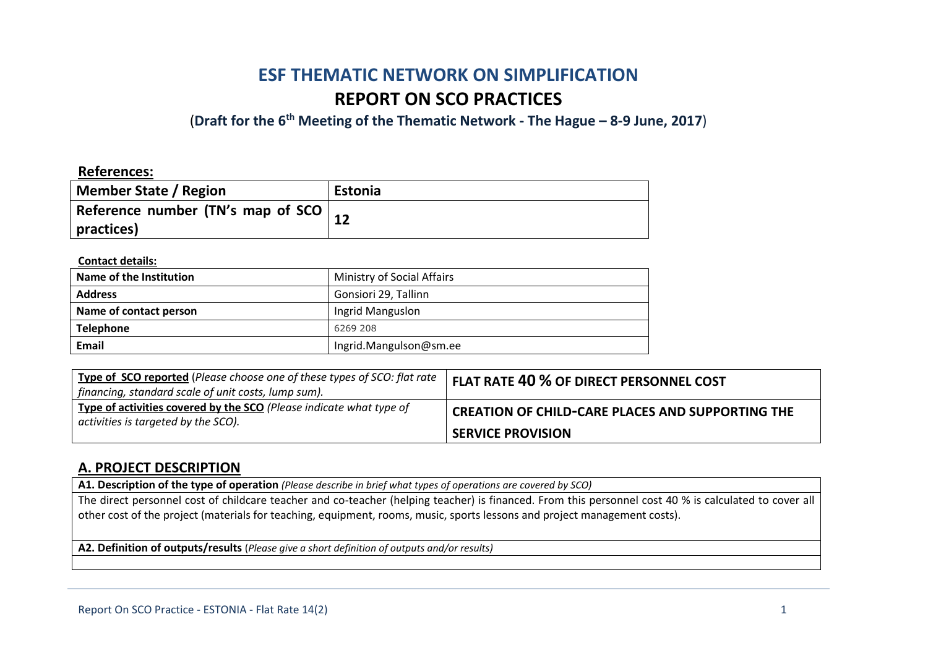# **ESF THEMATIC NETWORK ON SIMPLIFICATION REPORT ON SCO PRACTICES**

(**Draft for the 6th Meeting of the Thematic Network - The Hague – 8-9 June, 2017**)

### **References:**

| Member State / Region                        | Estonia |
|----------------------------------------------|---------|
| Reference number (TN's map of SCO $\vert$ 12 |         |
| practices)                                   |         |

#### **Contact details:**

| Name of the Institution | Ministry of Social Affairs |
|-------------------------|----------------------------|
| <b>Address</b>          | Gonsiori 29, Tallinn       |
| Name of contact person  | Ingrid Manguslon           |
| <b>Telephone</b>        | 6269 208                   |
| Email                   | Ingrid.Mangulson@sm.ee     |

| <b>Type of SCO reported</b> (Please choose one of these types of SCO: flat rate  <br>financing, standard scale of unit costs, lump sum). | <b>FLAT RATE 40 % OF DIRECT PERSONNEL COST</b>          |
|------------------------------------------------------------------------------------------------------------------------------------------|---------------------------------------------------------|
| Type of activities covered by the SCO (Please indicate what type of<br>activities is targeted by the SCO).                               | <b>CREATION OF CHILD-CARE PLACES AND SUPPORTING THE</b> |
|                                                                                                                                          | <b>SERVICE PROVISION</b>                                |

### **A. PROJECT DESCRIPTION**

**A1. Description of the type of operation** *(Please describe in brief what types of operations are covered by SCO)*

The direct personnel cost of childcare teacher and co-teacher (helping teacher) is financed. From this personnel cost 40 % is calculated to cover all other cost of the project (materials for teaching, equipment, rooms, music, sports lessons and project management costs).

**A2. Definition of outputs/results** (*Please give a short definition of outputs and/or results)*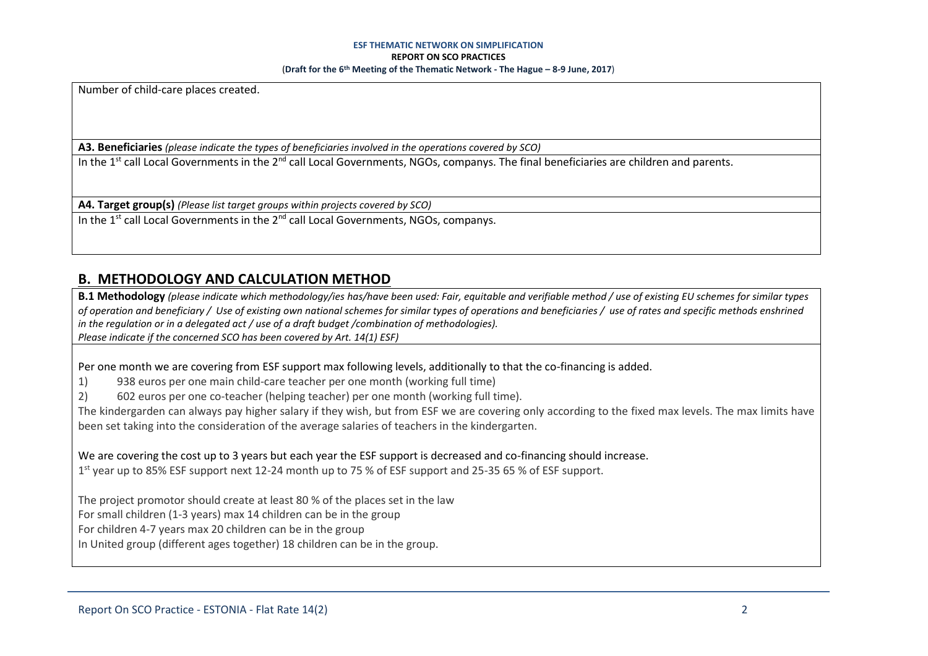Number of child-care places created.

**A3. Beneficiaries** *(please indicate the types of beneficiaries involved in the operations covered by SCO)*

In the 1<sup>st</sup> call Local Governments in the 2<sup>nd</sup> call Local Governments, NGOs, companys. The final beneficiaries are children and parents.

**A4. Target group(s)** *(Please list target groups within projects covered by SCO)*

In the  $1<sup>st</sup>$  call Local Governments in the  $2<sup>nd</sup>$  call Local Governments, NGOs, companys.

# **B. METHODOLOGY AND CALCULATION METHOD**

**B.1 Methodology** *(please indicate which methodology/ies has/have been used: Fair, equitable and verifiable method / use of existing EU schemes for similar types of operation and beneficiary / Use of existing own national schemes for similar types of operations and beneficiaries / use of rates and specific methods enshrined in the regulation or in a delegated act / use of a draft budget /combination of methodologies). Please indicate if the concerned SCO has been covered by Art. 14(1) ESF)*

Per one month we are covering from ESF support max following levels, additionally to that the co-financing is added.

1) 938 euros per one main child-care teacher per one month (working full time)

2) 602 euros per one co-teacher (helping teacher) per one month (working full time).

The kindergarden can always pay higher salary if they wish, but from ESF we are covering only according to the fixed max levels. The max limits have been set taking into the consideration of the average salaries of teachers in the kindergarten.

We are covering the cost up to 3 years but each year the ESF support is decreased and co-financing should increase.

1<sup>st</sup> year up to 85% ESF support next 12-24 month up to 75 % of ESF support and 25-35 65 % of ESF support.

The project promotor should create at least 80 % of the places set in the law

For small children (1-3 years) max 14 children can be in the group

For children 4-7 years max 20 children can be in the group

In United group (different ages together) 18 children can be in the group.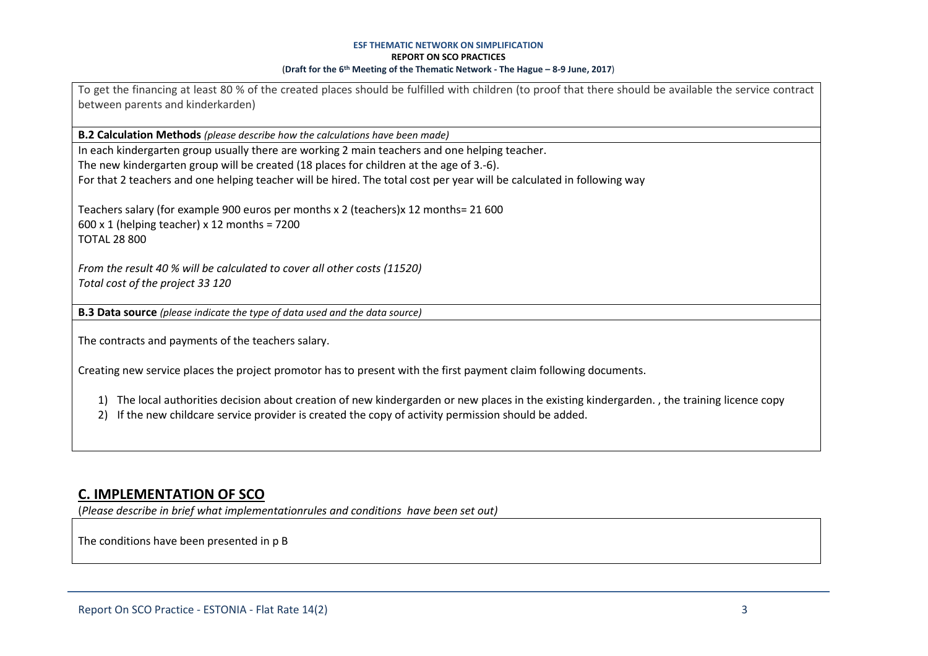To get the financing at least 80 % of the created places should be fulfilled with children (to proof that there should be available the service contract between parents and kinderkarden)

**B.2 Calculation Methods** *(please describe how the calculations have been made)*

In each kindergarten group usually there are working 2 main teachers and one helping teacher. The new kindergarten group will be created (18 places for children at the age of 3.-6). For that 2 teachers and one helping teacher will be hired. The total cost per year will be calculated in following way

Teachers salary (for example 900 euros per months x 2 (teachers)x 12 months= 21 600  $600 \times 1$  (helping teacher) x 12 months = 7200 TOTAL 28 800

*From the result 40 % will be calculated to cover all other costs (11520) Total cost of the project 33 120*

**B.3 Data source** *(please indicate the type of data used and the data source)*

The contracts and payments of the teachers salary.

Creating new service places the project promotor has to present with the first payment claim following documents.

1) The local authorities decision about creation of new kindergarden or new places in the existing kindergarden. , the training licence copy

2) If the new childcare service provider is created the copy of activity permission should be added.

### **C. IMPLEMENTATION OF SCO**

(*Please describe in brief what implementationrules and conditions have been set out)*

The conditions have been presented in p B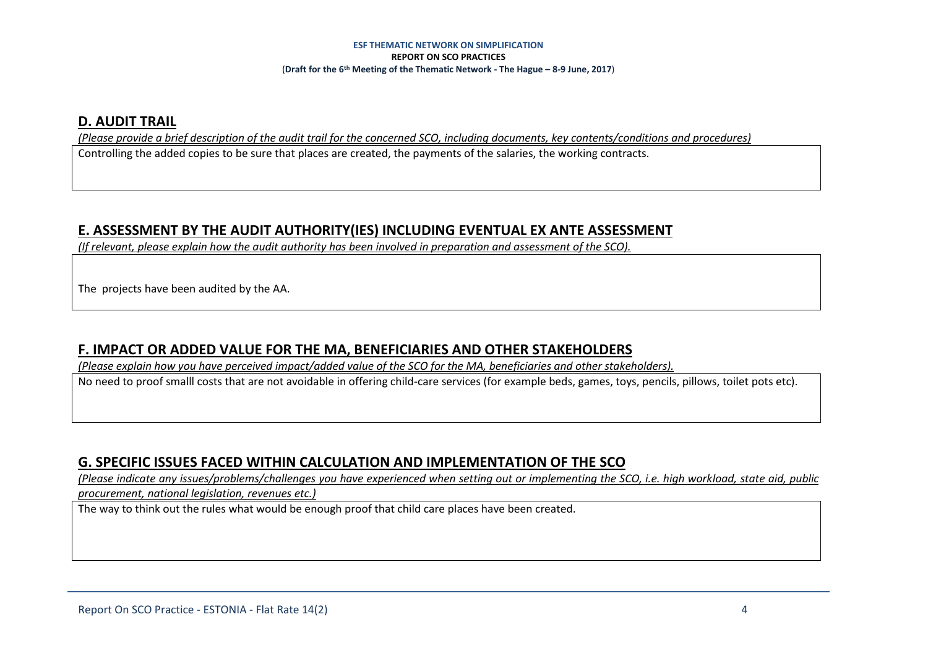### **D. AUDIT TRAIL**

*(Please provide a brief description of the audit trail for the concerned SCO, including documents, key contents/conditions and procedures)*

Controlling the added copies to be sure that places are created, the payments of the salaries, the working contracts.

# **E. ASSESSMENT BY THE AUDIT AUTHORITY(IES) INCLUDING EVENTUAL EX ANTE ASSESSMENT**

*(If relevant, please explain how the audit authority has been involved in preparation and assessment of the SCO).* 

The projects have been audited by the AA.

# **F. IMPACT OR ADDED VALUE FOR THE MA, BENEFICIARIES AND OTHER STAKEHOLDERS**

*(Please explain how you have perceived impact/added value of the SCO for the MA, beneficiaries and other stakeholders).* 

No need to proof smalll costs that are not avoidable in offering child-care services (for example beds, games, toys, pencils, pillows, toilet pots etc).

# **G. SPECIFIC ISSUES FACED WITHIN CALCULATION AND IMPLEMENTATION OF THE SCO**

*(Please indicate any issues/problems/challenges you have experienced when setting out or implementing the SCO, i.e. high workload, state aid, public procurement, national legislation, revenues etc.)*

The way to think out the rules what would be enough proof that child care places have been created.